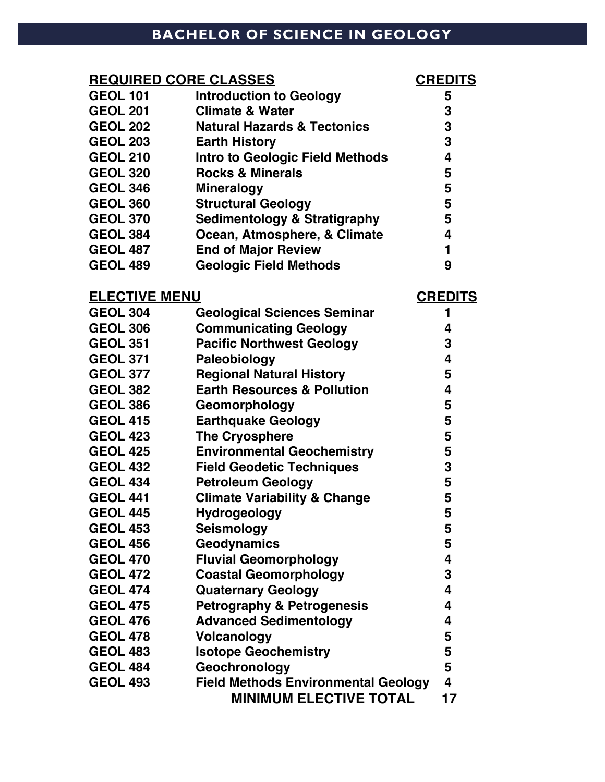## **BACHELOR OF SCIENCE IN GEOLOGY**

| <b>REQUIRED CORE CLASSES</b> | <b>CREDITS</b>                          |                |
|------------------------------|-----------------------------------------|----------------|
| <b>GEOL 101</b>              | <b>Introduction to Geology</b>          | 5              |
| <b>GEOL 201</b>              | <b>Climate &amp; Water</b>              | 3              |
| <b>GEOL 202</b>              | <b>Natural Hazards &amp; Tectonics</b>  | 3              |
| <b>GEOL 203</b>              | <b>Earth History</b>                    | 3              |
| <b>GEOL 210</b>              | <b>Intro to Geologic Field Methods</b>  | 4              |
| <b>GEOL 320</b>              | <b>Rocks &amp; Minerals</b>             | 5              |
| <b>GEOL 346</b>              | <b>Mineralogy</b>                       | 5              |
| <b>GEOL 360</b>              | <b>Structural Geology</b>               | 5              |
| <b>GEOL 370</b>              | <b>Sedimentology &amp; Stratigraphy</b> | 5              |
| <b>GEOL 384</b>              | Ocean, Atmosphere, & Climate            | 4              |
| <b>GEOL 487</b>              | <b>End of Major Review</b>              | 1              |
| <b>GEOL 489</b>              | <b>Geologic Field Methods</b>           | 9              |
| <b>ELECTIVE MENU</b>         |                                         | <b>CREDITS</b> |
| <b>GEOL 304</b>              | <b>Geological Sciences Seminar</b>      | 1              |
| <b>GEOL 306</b>              | <b>Communicating Geology</b>            | 4              |
| <b>GEOL 351</b>              | <b>Pacific Northwest Geology</b>        | 3              |
| <b>GEOL 371</b>              | Paleobiology                            | 4              |
| <b>GEOL 377</b>              | <b>Regional Natural History</b>         | 5              |
| <b>GEOL 382</b>              | <b>Earth Resources &amp; Pollution</b>  | 4              |
| <b>GEOL 386</b>              | Geomorphology                           | 5              |
| <b>GEOL 415</b>              | <b>Earthquake Geology</b>               | 5              |
| <b>GEOL 423</b>              | <b>The Cryosphere</b>                   | 5              |
| <b>GEOL 425</b>              | <b>Environmental Geochemistry</b>       | 5              |

| GEOL 382        | Earth Resources & Pollution                | 4  |
|-----------------|--------------------------------------------|----|
| <b>GEOL 386</b> | Geomorphology                              | 5  |
| <b>GEOL 415</b> | <b>Earthquake Geology</b>                  | 5  |
| <b>GEOL 423</b> | <b>The Cryosphere</b>                      | 5  |
| <b>GEOL 425</b> | <b>Environmental Geochemistry</b>          | 5  |
| <b>GEOL 432</b> | <b>Field Geodetic Techniques</b>           | 3  |
| <b>GEOL 434</b> | <b>Petroleum Geology</b>                   | 5  |
| <b>GEOL 441</b> | <b>Climate Variability &amp; Change</b>    | 5  |
| <b>GEOL 445</b> | <b>Hydrogeology</b>                        | 5  |
| <b>GEOL 453</b> | <b>Seismology</b>                          | 5  |
| <b>GEOL 456</b> | <b>Geodynamics</b>                         | 5  |
| <b>GEOL 470</b> | <b>Fluvial Geomorphology</b>               | 4  |
| <b>GEOL 472</b> | <b>Coastal Geomorphology</b>               | 3  |
| <b>GEOL 474</b> | <b>Quaternary Geology</b>                  | 4  |
| <b>GEOL 475</b> | <b>Petrography &amp; Petrogenesis</b>      | 4  |
| <b>GEOL 476</b> | <b>Advanced Sedimentology</b>              | 4  |
| <b>GEOL 478</b> | <b>Volcanology</b>                         | 5  |
| <b>GEOL 483</b> | <b>Isotope Geochemistry</b>                | 5  |
| <b>GEOL 484</b> | Geochronology                              | 5  |
| <b>GEOL 493</b> | <b>Field Methods Environmental Geology</b> | 4  |
|                 | <b>MINIMUM ELECTIVE TOTAL</b>              | 17 |